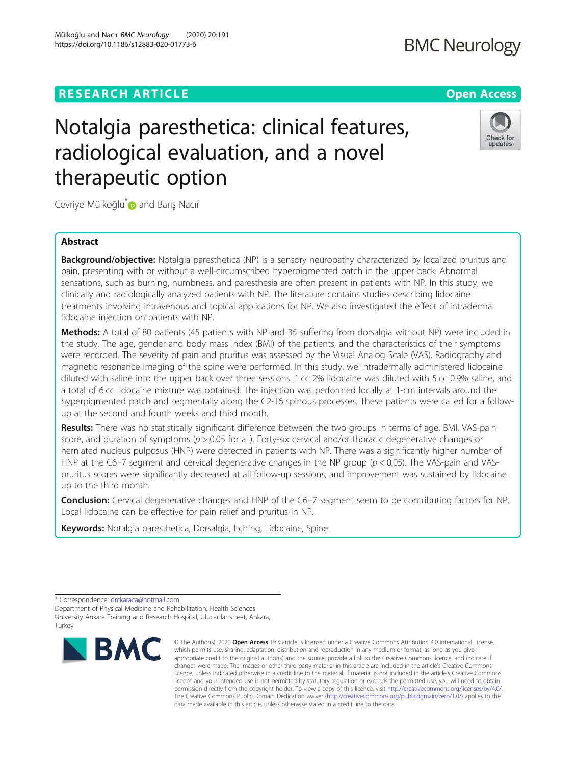# **RESEARCH ARTICLE Example 2014 12:30 The Contract of Contract ACCESS**

# Notalgia paresthetica: clinical features, radiological evaluation, and a novel therapeutic option

Cevriye Mülkoğlu<sup>[\\*](http://orcid.org/0000-0001-9113-3885)</sup> and Barış Nacır

# Abstract

**Background/objective:** Notalgia paresthetica (NP) is a sensory neuropathy characterized by localized pruritus and pain, presenting with or without a well-circumscribed hyperpigmented patch in the upper back. Abnormal sensations, such as burning, numbness, and paresthesia are often present in patients with NP. In this study, we clinically and radiologically analyzed patients with NP. The literature contains studies describing lidocaine treatments involving intravenous and topical applications for NP. We also investigated the effect of intradermal lidocaine injection on patients with NP.

Methods: A total of 80 patients (45 patients with NP and 35 suffering from dorsalgia without NP) were included in the study. The age, gender and body mass index (BMI) of the patients, and the characteristics of their symptoms were recorded. The severity of pain and pruritus was assessed by the Visual Analog Scale (VAS). Radiography and magnetic resonance imaging of the spine were performed. In this study, we intradermally administered lidocaine diluted with saline into the upper back over three sessions. 1 cc 2% lidocaine was diluted with 5 cc 0.9% saline, and a total of 6 cc lidocaine mixture was obtained. The injection was performed locally at 1-cm intervals around the hyperpigmented patch and segmentally along the C2-T6 spinous processes. These patients were called for a followup at the second and fourth weeks and third month.

Results: There was no statistically significant difference between the two groups in terms of age, BMI, VAS-pain score, and duration of symptoms ( $p > 0.05$  for all). Forty-six cervical and/or thoracic degenerative changes or herniated nucleus pulposus (HNP) were detected in patients with NP. There was a significantly higher number of HNP at the C6–7 segment and cervical degenerative changes in the NP group ( $p < 0.05$ ). The VAS-pain and VASpruritus scores were significantly decreased at all follow-up sessions, and improvement was sustained by lidocaine up to the third month.

Conclusion: Cervical degenerative changes and HNP of the C6-7 segment seem to be contributing factors for NP. Local lidocaine can be effective for pain relief and pruritus in NP.

Keywords: Notalgia paresthetica, Dorsalgia, Itching, Lidocaine, Spine

\* Correspondence: [drckaraca@hotmail.com](mailto:drckaraca@hotmail.com)

**BMC** 

Department of Physical Medicine and Rehabilitation, Health Sciences University Ankara Training and Research Hospital, Ulucanlar street, Ankara, **Turkey** 



Mülkoğlu and Nacı<sup>r</sup> BMC Neurology (2020) 20:191 https://doi.org/10.1186/s12883-020-01773-6



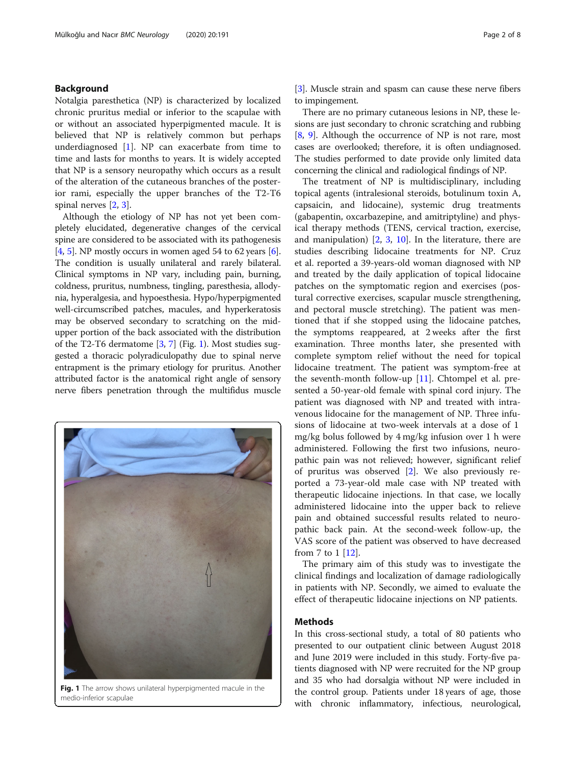# <span id="page-1-0"></span>Background

Notalgia paresthetica (NP) is characterized by localized chronic pruritus medial or inferior to the scapulae with or without an associated hyperpigmented macule. It is believed that NP is relatively common but perhaps underdiagnosed  $[1]$  $[1]$ . NP can exacerbate from time to time and lasts for months to years. It is widely accepted that NP is a sensory neuropathy which occurs as a result of the alteration of the cutaneous branches of the posterior rami, especially the upper branches of the T2-T6 spinal nerves [[2,](#page-6-0) [3\]](#page-6-0).

Although the etiology of NP has not yet been completely elucidated, degenerative changes of the cervical spine are considered to be associated with its pathogenesis [[4,](#page-6-0) [5](#page-6-0)]. NP mostly occurs in women aged 54 to [6](#page-6-0)2 years  $[6]$ . The condition is usually unilateral and rarely bilateral. Clinical symptoms in NP vary, including pain, burning, coldness, pruritus, numbness, tingling, paresthesia, allodynia, hyperalgesia, and hypoesthesia. Hypo/hyperpigmented well-circumscribed patches, macules, and hyperkeratosis may be observed secondary to scratching on the midupper portion of the back associated with the distribution of the T2-T6 dermatome  $[3, 7]$  $[3, 7]$  $[3, 7]$  $[3, 7]$  $[3, 7]$  (Fig. 1). Most studies suggested a thoracic polyradiculopathy due to spinal nerve entrapment is the primary etiology for pruritus. Another attributed factor is the anatomical right angle of sensory nerve fibers penetration through the multifidus muscle



Fig. 1 The arrow shows unilateral hyperpigmented macule in the medio-inferior scapulae

[[3\]](#page-6-0). Muscle strain and spasm can cause these nerve fibers to impingement.

There are no primary cutaneous lesions in NP, these lesions are just secondary to chronic scratching and rubbing [[8,](#page-6-0) [9\]](#page-6-0). Although the occurrence of NP is not rare, most cases are overlooked; therefore, it is often undiagnosed. The studies performed to date provide only limited data concerning the clinical and radiological findings of NP.

The treatment of NP is multidisciplinary, including topical agents (intralesional steroids, botulinum toxin A, capsaicin, and lidocaine), systemic drug treatments (gabapentin, oxcarbazepine, and amitriptyline) and physical therapy methods (TENS, cervical traction, exercise, and manipulation)  $[2, 3, 10]$  $[2, 3, 10]$  $[2, 3, 10]$  $[2, 3, 10]$  $[2, 3, 10]$ . In the literature, there are studies describing lidocaine treatments for NP. Cruz et al. reported a 39-years-old woman diagnosed with NP and treated by the daily application of topical lidocaine patches on the symptomatic region and exercises (postural corrective exercises, scapular muscle strengthening, and pectoral muscle stretching). The patient was mentioned that if she stopped using the lidocaine patches, the symptoms reappeared, at 2 weeks after the first examination. Three months later, she presented with complete symptom relief without the need for topical lidocaine treatment. The patient was symptom-free at the seventh-month follow-up [[11](#page-6-0)]. Chtompel et al. presented a 50-year-old female with spinal cord injury. The patient was diagnosed with NP and treated with intravenous lidocaine for the management of NP. Three infusions of lidocaine at two-week intervals at a dose of 1 mg/kg bolus followed by 4 mg/kg infusion over 1 h were administered. Following the first two infusions, neuropathic pain was not relieved; however, significant relief of pruritus was observed [\[2](#page-6-0)]. We also previously reported a 73-year-old male case with NP treated with therapeutic lidocaine injections. In that case, we locally administered lidocaine into the upper back to relieve pain and obtained successful results related to neuropathic back pain. At the second-week follow-up, the VAS score of the patient was observed to have decreased from 7 to 1 [[12](#page-6-0)].

The primary aim of this study was to investigate the clinical findings and localization of damage radiologically in patients with NP. Secondly, we aimed to evaluate the effect of therapeutic lidocaine injections on NP patients.

# Methods

In this cross-sectional study, a total of 80 patients who presented to our outpatient clinic between August 2018 and June 2019 were included in this study. Forty-five patients diagnosed with NP were recruited for the NP group and 35 who had dorsalgia without NP were included in the control group. Patients under 18 years of age, those with chronic inflammatory, infectious, neurological,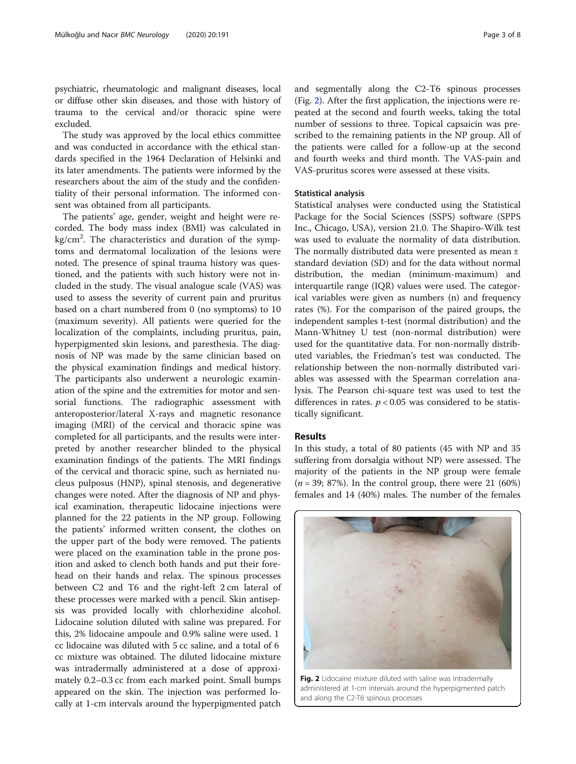psychiatric, rheumatologic and malignant diseases, local or diffuse other skin diseases, and those with history of trauma to the cervical and/or thoracic spine were excluded.

The study was approved by the local ethics committee and was conducted in accordance with the ethical standards specified in the 1964 Declaration of Helsinki and its later amendments. The patients were informed by the researchers about the aim of the study and the confidentiality of their personal information. The informed consent was obtained from all participants.

The patients' age, gender, weight and height were recorded. The body mass index (BMI) was calculated in kg/cm<sup>2</sup>. The characteristics and duration of the symptoms and dermatomal localization of the lesions were noted. The presence of spinal trauma history was questioned, and the patients with such history were not included in the study. The visual analogue scale (VAS) was used to assess the severity of current pain and pruritus based on a chart numbered from 0 (no symptoms) to 10 (maximum severity). All patients were queried for the localization of the complaints, including pruritus, pain, hyperpigmented skin lesions, and paresthesia. The diagnosis of NP was made by the same clinician based on the physical examination findings and medical history. The participants also underwent a neurologic examination of the spine and the extremities for motor and sensorial functions. The radiographic assessment with anteroposterior/lateral X-rays and magnetic resonance imaging (MRI) of the cervical and thoracic spine was completed for all participants, and the results were interpreted by another researcher blinded to the physical examination findings of the patients. The MRI findings of the cervical and thoracic spine, such as herniated nucleus pulposus (HNP), spinal stenosis, and degenerative changes were noted. After the diagnosis of NP and physical examination, therapeutic lidocaine injections were planned for the 22 patients in the NP group. Following the patients' informed written consent, the clothes on the upper part of the body were removed. The patients were placed on the examination table in the prone position and asked to clench both hands and put their forehead on their hands and relax. The spinous processes between C2 and T6 and the right-left 2 cm lateral of these processes were marked with a pencil. Skin antisepsis was provided locally with chlorhexidine alcohol. Lidocaine solution diluted with saline was prepared. For this, 2% lidocaine ampoule and 0.9% saline were used. 1 cc lidocaine was diluted with 5 cc saline, and a total of 6 cc mixture was obtained. The diluted lidocaine mixture was intradermally administered at a dose of approximately 0.2–0.3 cc from each marked point. Small bumps appeared on the skin. The injection was performed locally at 1-cm intervals around the hyperpigmented patch

and segmentally along the C2-T6 spinous processes (Fig. 2). After the first application, the injections were repeated at the second and fourth weeks, taking the total number of sessions to three. Topical capsaicin was prescribed to the remaining patients in the NP group. All of the patients were called for a follow-up at the second and fourth weeks and third month. The VAS-pain and VAS-pruritus scores were assessed at these visits.

# Statistical analysis

Statistical analyses were conducted using the Statistical Package for the Social Sciences (SSPS) software (SPPS Inc., Chicago, USA), version 21.0. The Shapiro-Wilk test was used to evaluate the normality of data distribution. The normally distributed data were presented as mean  $\pm$ standard deviation (SD) and for the data without normal distribution, the median (minimum-maximum) and interquartile range (IQR) values were used. The categorical variables were given as numbers (n) and frequency rates (%). For the comparison of the paired groups, the independent samples t-test (normal distribution) and the Mann-Whitney U test (non-normal distribution) were used for the quantitative data. For non-normally distributed variables, the Friedman's test was conducted. The relationship between the non-normally distributed variables was assessed with the Spearman correlation analysis. The Pearson chi-square test was used to test the differences in rates.  $p < 0.05$  was considered to be statistically significant.

### Results

In this study, a total of 80 patients (45 with NP and 35 suffering from dorsalgia without NP) were assessed. The majority of the patients in the NP group were female  $(n = 39; 87%)$ . In the control group, there were 21 (60%) females and 14 (40%) males. The number of the females



Fig. 2 Lidocaine mixture diluted with saline was intradermally administered at 1-cm intervals around the hyperpigmented patch and along the C2-T6 spinous processes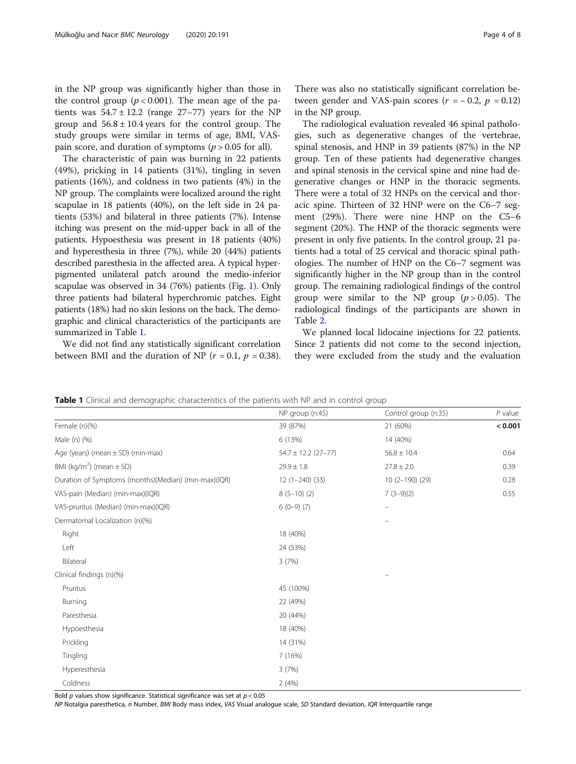in the NP group was significantly higher than those in the control group ( $p < 0.001$ ). The mean age of the patients was  $54.7 \pm 12.2$  (range  $27-77$ ) years for the NP group and  $56.8 \pm 10.4$  years for the control group. The study groups were similar in terms of age, BMI, VASpain score, and duration of symptoms ( $p > 0.05$  for all).

The characteristic of pain was burning in 22 patients (49%), pricking in 14 patients (31%), tingling in seven patients (16%), and coldness in two patients (4%) in the NP group. The complaints were localized around the right scapulae in 18 patients (40%), on the left side in 24 patients (53%) and bilateral in three patients (7%). Intense itching was present on the mid-upper back in all of the patients. Hypoesthesia was present in 18 patients (40%) and hyperesthesia in three (7%), while 20 (44%) patients described paresthesia in the affected area. A typical hyperpigmented unilateral patch around the medio-inferior scapulae was observed in 34 (76%) patients (Fig. [1](#page-1-0)). Only three patients had bilateral hyperchromic patches. Eight patients (18%) had no skin lesions on the back. The demographic and clinical characteristics of the participants are summarized in Table 1.

We did not find any statistically significant correlation between BMI and the duration of NP ( $r = 0.1$ ,  $p = 0.38$ ). There was also no statistically significant correlation between gender and VAS-pain scores  $(r = -0.2, p = 0.12)$ in the NP group.

The radiological evaluation revealed 46 spinal pathologies, such as degenerative changes of the vertebrae, spinal stenosis, and HNP in 39 patients (87%) in the NP group. Ten of these patients had degenerative changes and spinal stenosis in the cervical spine and nine had degenerative changes or HNP in the thoracic segments. There were a total of 32 HNPs on the cervical and thoracic spine. Thirteen of 32 HNP were on the C6–7 segment (29%). There were nine HNP on the C5–6 segment (20%). The HNP of the thoracic segments were present in only five patients. In the control group, 21 patients had a total of 25 cervical and thoracic spinal pathologies. The number of HNP on the C6–7 segment was significantly higher in the NP group than in the control group. The remaining radiological findings of the control group were similar to the NP group  $(p > 0.05)$ . The radiological findings of the participants are shown in Table [2.](#page-4-0)

We planned local lidocaine injections for 22 patients. Since 2 patients did not come to the second injection, they were excluded from the study and the evaluation

|                                                      | NP group (n:45)         | Control group (n:35)     | $P$ value |
|------------------------------------------------------|-------------------------|--------------------------|-----------|
| Female (n)(%)                                        | 39 (87%)                | 21 (60%)                 | < 0.001   |
| Male (n) (%)                                         | 6 (13%)                 | 14 (40%)                 |           |
| Age (years) (mean $\pm$ SD) (min-max)                | $54.7 \pm 12.2$ (27-77) | $56.8 \pm 10.4$          | 0.64      |
| BMI (kg/m <sup>2</sup> ) (mean $\pm$ SD)             | $29.9 \pm 1.8$          | $27.8 \pm 2.0$           | 0.39      |
| Duration of Symptoms (months)(Median) (min-max)(IQR) | $12(1-240)(33)$         | $10(2-190)(29)$          | 0.28      |
| VAS-pain (Median) (min-max)(IQR)                     | $8(5-10)(2)$            | $7(3-9)(2)$              | 0.55      |
| VAS-pruritus (Median) (min-max)(IQR)                 | $6(0-9)(7)$             | $\overline{\phantom{0}}$ |           |
| Dermatomal Localization (n)(%)                       |                         |                          |           |
| Right                                                | 18 (40%)                |                          |           |
| Left                                                 | 24 (53%)                |                          |           |
| Bilateral                                            | 3(7%)                   |                          |           |
| Clinical findings (n)(%)                             |                         |                          |           |
| Pruritus                                             | 45 (100%)               |                          |           |
| Burning                                              | 22 (49%)                |                          |           |
| Paresthesia                                          | 20 (44%)                |                          |           |
| Hypoesthesia                                         | 18 (40%)                |                          |           |
| Prickling                                            | 14 (31%)                |                          |           |
| Tingling                                             | 7(16%)                  |                          |           |
| Hyperesthesia                                        | 3(7%)                   |                          |           |
| Coldness                                             | 2(4%)                   |                          |           |

**Table 1** Clinical and demographic characteristics of the patients with NP and in control group

Bold *p* values show significance. Statistical significance was set at  $p < 0.05$ 

NP Notalgia paresthetica, n Number, BMI Body mass index, VAS Visual analogue scale, SD Standard deviation, IQR Interquartile range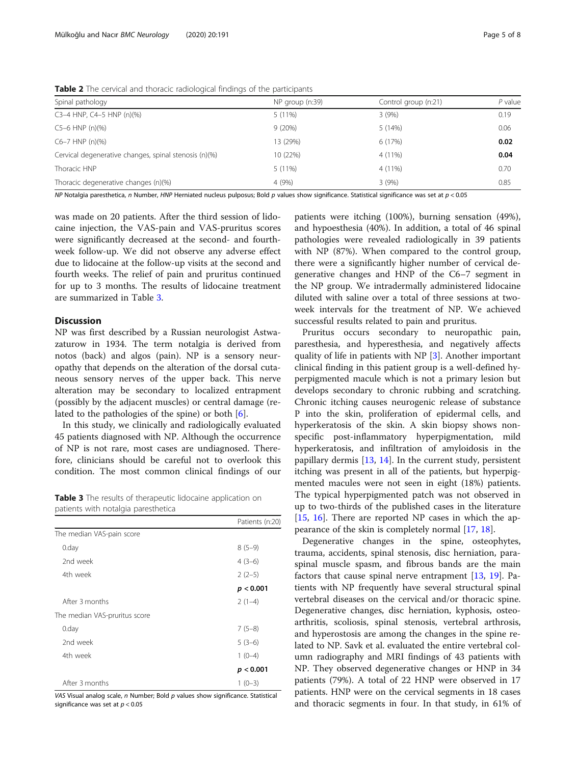<span id="page-4-0"></span>**Table 2** The cervical and thoracic radiological findings of the participants

| Spinal pathology                                      | NP group (n:39) | Control group (n:21) | $P$ value |  |
|-------------------------------------------------------|-----------------|----------------------|-----------|--|
| C3-4 HNP, C4-5 HNP (n)(%)                             | $5(11\%)$       | 3(9%)                | 0.19      |  |
| $C5-6$ HNP $(n)(%$                                    | 9(20%)          | 5(14%)               | 0.06      |  |
| $C6 - 7$ HNP $(n)(\%)$                                | 13 (29%)        | 6(17%)               | 0.02      |  |
| Cervical degenerative changes, spinal stenosis (n)(%) | 10 (22%)        | 4 (11%)              | 0.04      |  |
| Thoracic HNP                                          | $5(11\%)$       | 4 (11%)              | 0.70      |  |
| Thoracic degenerative changes (n)(%)                  | 4 (9%)          | 3(9%)                | 0.85      |  |

NP Notalgia paresthetica, n Number, HNP Herniated nucleus pulposus; Bold p values show significance. Statistical significance was set at  $p < 0.05$ 

was made on 20 patients. After the third session of lidocaine injection, the VAS-pain and VAS-pruritus scores were significantly decreased at the second- and fourthweek follow-up. We did not observe any adverse effect due to lidocaine at the follow-up visits at the second and fourth weeks. The relief of pain and pruritus continued for up to 3 months. The results of lidocaine treatment are summarized in Table 3.

# **Discussion**

NP was first described by a Russian neurologist Astwazaturow in 1934. The term notalgia is derived from notos (back) and algos (pain). NP is a sensory neuropathy that depends on the alteration of the dorsal cutaneous sensory nerves of the upper back. This nerve alteration may be secondary to localized entrapment (possibly by the adjacent muscles) or central damage (related to the pathologies of the spine) or both [\[6](#page-6-0)].

In this study, we clinically and radiologically evaluated 45 patients diagnosed with NP. Although the occurrence of NP is not rare, most cases are undiagnosed. Therefore, clinicians should be careful not to overlook this condition. The most common clinical findings of our

Table 3 The results of therapeutic lidocaine application on patients with notalgia paresthetica

|                               | Patients (n:20) |
|-------------------------------|-----------------|
| The median VAS-pain score     |                 |
| 0.day                         | $8(5-9)$        |
| 2nd week                      | $4(3-6)$        |
| 4th week                      | $2(2-5)$        |
|                               | p < 0.001       |
| After 3 months                | $2(1-4)$        |
| The median VAS-pruritus score |                 |
| $0$ .day                      | $7(5-8)$        |
| 2nd week                      | $5(3-6)$        |
| 4th week                      | $1(0-4)$        |
|                               | p < 0.001       |
| After 3 months                | $1(0-3)$        |

VAS Visual analog scale,  $n$  Number; Bold  $p$  values show significance. Statistical significance was set at  $p < 0.05$ 

patients were itching (100%), burning sensation (49%), and hypoesthesia (40%). In addition, a total of 46 spinal pathologies were revealed radiologically in 39 patients with NP (87%). When compared to the control group, there were a significantly higher number of cervical degenerative changes and HNP of the C6–7 segment in the NP group. We intradermally administered lidocaine diluted with saline over a total of three sessions at twoweek intervals for the treatment of NP. We achieved successful results related to pain and pruritus.

Pruritus occurs secondary to neuropathic pain, paresthesia, and hyperesthesia, and negatively affects quality of life in patients with NP [\[3](#page-6-0)]. Another important clinical finding in this patient group is a well-defined hyperpigmented macule which is not a primary lesion but develops secondary to chronic rubbing and scratching. Chronic itching causes neurogenic release of substance P into the skin, proliferation of epidermal cells, and hyperkeratosis of the skin. A skin biopsy shows nonspecific post-inflammatory hyperpigmentation, mild hyperkeratosis, and infiltration of amyloidosis in the papillary dermis [\[13,](#page-6-0) [14](#page-7-0)]. In the current study, persistent itching was present in all of the patients, but hyperpigmented macules were not seen in eight (18%) patients. The typical hyperpigmented patch was not observed in up to two-thirds of the published cases in the literature [[15,](#page-7-0) [16\]](#page-7-0). There are reported NP cases in which the appearance of the skin is completely normal [\[17](#page-7-0), [18](#page-7-0)].

Degenerative changes in the spine, osteophytes, trauma, accidents, spinal stenosis, disc herniation, paraspinal muscle spasm, and fibrous bands are the main factors that cause spinal nerve entrapment [\[13](#page-6-0), [19\]](#page-7-0). Patients with NP frequently have several structural spinal vertebral diseases on the cervical and/or thoracic spine. Degenerative changes, disc herniation, kyphosis, osteoarthritis, scoliosis, spinal stenosis, vertebral arthrosis, and hyperostosis are among the changes in the spine related to NP. Savk et al. evaluated the entire vertebral column radiography and MRI findings of 43 patients with NP. They observed degenerative changes or HNP in 34 patients (79%). A total of 22 HNP were observed in 17 patients. HNP were on the cervical segments in 18 cases and thoracic segments in four. In that study, in 61% of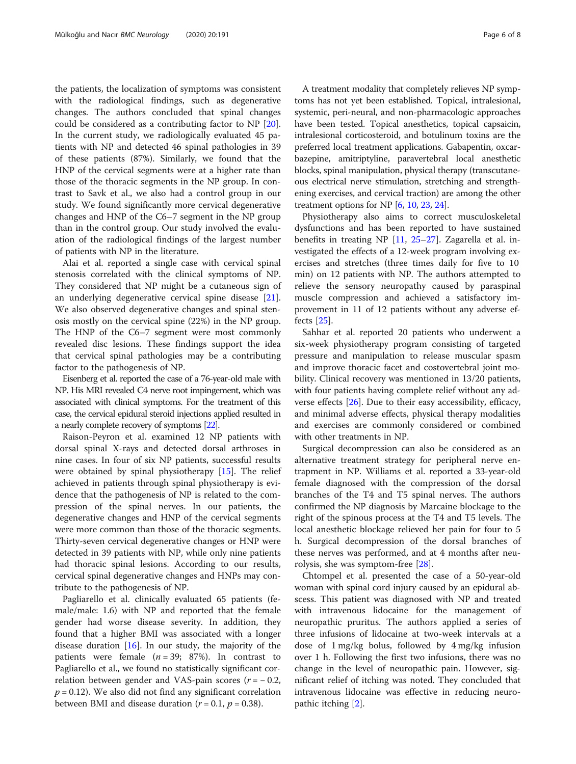the patients, the localization of symptoms was consistent with the radiological findings, such as degenerative changes. The authors concluded that spinal changes could be considered as a contributing factor to NP [\[20](#page-7-0)]. In the current study, we radiologically evaluated 45 patients with NP and detected 46 spinal pathologies in 39 of these patients (87%). Similarly, we found that the HNP of the cervical segments were at a higher rate than those of the thoracic segments in the NP group. In contrast to Savk et al., we also had a control group in our study. We found significantly more cervical degenerative changes and HNP of the C6–7 segment in the NP group than in the control group. Our study involved the evaluation of the radiological findings of the largest number of patients with NP in the literature.

Alai et al. reported a single case with cervical spinal stenosis correlated with the clinical symptoms of NP. They considered that NP might be a cutaneous sign of an underlying degenerative cervical spine disease [\[21](#page-7-0)]. We also observed degenerative changes and spinal stenosis mostly on the cervical spine (22%) in the NP group. The HNP of the C6–7 segment were most commonly revealed disc lesions. These findings support the idea that cervical spinal pathologies may be a contributing factor to the pathogenesis of NP.

Eisenberg et al. reported the case of a 76-year-old male with NP. His MRI revealed C4 nerve root impingement, which was associated with clinical symptoms. For the treatment of this case, the cervical epidural steroid injections applied resulted in a nearly complete recovery of symptoms [[22\]](#page-7-0).

Raison-Peyron et al. examined 12 NP patients with dorsal spinal X-rays and detected dorsal arthroses in nine cases. In four of six NP patients, successful results were obtained by spinal physiotherapy [\[15\]](#page-7-0). The relief achieved in patients through spinal physiotherapy is evidence that the pathogenesis of NP is related to the compression of the spinal nerves. In our patients, the degenerative changes and HNP of the cervical segments were more common than those of the thoracic segments. Thirty-seven cervical degenerative changes or HNP were detected in 39 patients with NP, while only nine patients had thoracic spinal lesions. According to our results, cervical spinal degenerative changes and HNPs may contribute to the pathogenesis of NP.

Pagliarello et al. clinically evaluated 65 patients (female/male: 1.6) with NP and reported that the female gender had worse disease severity. In addition, they found that a higher BMI was associated with a longer disease duration [[16](#page-7-0)]. In our study, the majority of the patients were female  $(n = 39; 87%)$ . In contrast to Pagliarello et al., we found no statistically significant correlation between gender and VAS-pain scores  $(r = -0.2,$  $p = 0.12$ ). We also did not find any significant correlation between BMI and disease duration ( $r = 0.1$ ,  $p = 0.38$ ).

A treatment modality that completely relieves NP symptoms has not yet been established. Topical, intralesional, systemic, peri-neural, and non-pharmacologic approaches have been tested. Topical anesthetics, topical capsaicin, intralesional corticosteroid, and botulinum toxins are the preferred local treatment applications. Gabapentin, oxcarbazepine, amitriptyline, paravertebral local anesthetic blocks, spinal manipulation, physical therapy (transcutaneous electrical nerve stimulation, stretching and strengthening exercises, and cervical traction) are among the other treatment options for NP [\[6](#page-6-0), [10,](#page-6-0) [23,](#page-7-0) [24](#page-7-0)].

Physiotherapy also aims to correct musculoskeletal dysfunctions and has been reported to have sustained benefits in treating NP [\[11,](#page-6-0) [25](#page-7-0)–[27\]](#page-7-0). Zagarella et al. investigated the effects of a 12-week program involving exercises and stretches (three times daily for five to 10 min) on 12 patients with NP. The authors attempted to relieve the sensory neuropathy caused by paraspinal muscle compression and achieved a satisfactory improvement in 11 of 12 patients without any adverse effects [\[25](#page-7-0)].

Sahhar et al. reported 20 patients who underwent a six-week physiotherapy program consisting of targeted pressure and manipulation to release muscular spasm and improve thoracic facet and costovertebral joint mobility. Clinical recovery was mentioned in 13/20 patients, with four patients having complete relief without any adverse effects [[26\]](#page-7-0). Due to their easy accessibility, efficacy, and minimal adverse effects, physical therapy modalities and exercises are commonly considered or combined with other treatments in NP.

Surgical decompression can also be considered as an alternative treatment strategy for peripheral nerve entrapment in NP. Williams et al. reported a 33-year-old female diagnosed with the compression of the dorsal branches of the T4 and T5 spinal nerves. The authors confirmed the NP diagnosis by Marcaine blockage to the right of the spinous process at the T4 and T5 levels. The local anesthetic blockage relieved her pain for four to 5 h. Surgical decompression of the dorsal branches of these nerves was performed, and at 4 months after neurolysis, she was symptom-free [\[28\]](#page-7-0).

Chtompel et al. presented the case of a 50-year-old woman with spinal cord injury caused by an epidural abscess. This patient was diagnosed with NP and treated with intravenous lidocaine for the management of neuropathic pruritus. The authors applied a series of three infusions of lidocaine at two-week intervals at a dose of 1 mg/kg bolus, followed by 4 mg/kg infusion over 1 h. Following the first two infusions, there was no change in the level of neuropathic pain. However, significant relief of itching was noted. They concluded that intravenous lidocaine was effective in reducing neuropathic itching [[2\]](#page-6-0).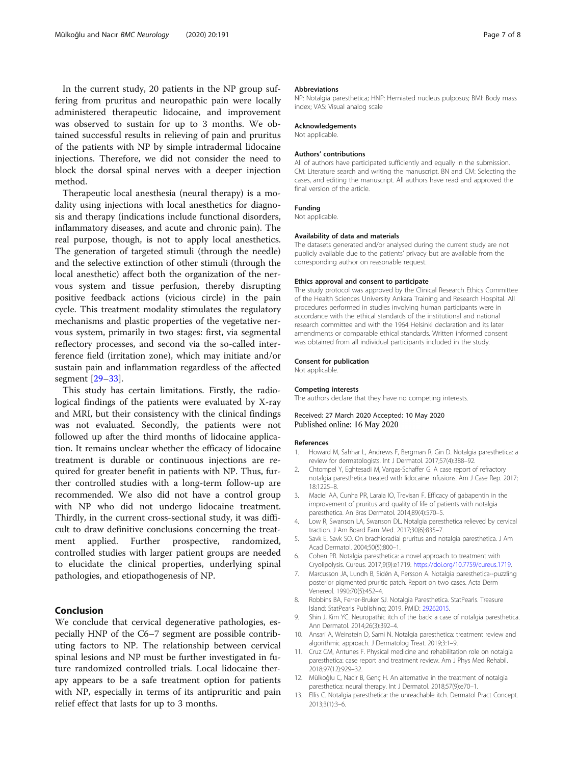<span id="page-6-0"></span>In the current study, 20 patients in the NP group suffering from pruritus and neuropathic pain were locally administered therapeutic lidocaine, and improvement was observed to sustain for up to 3 months. We obtained successful results in relieving of pain and pruritus of the patients with NP by simple intradermal lidocaine injections. Therefore, we did not consider the need to block the dorsal spinal nerves with a deeper injection method.

Therapeutic local anesthesia (neural therapy) is a modality using injections with local anesthetics for diagnosis and therapy (indications include functional disorders, inflammatory diseases, and acute and chronic pain). The real purpose, though, is not to apply local anesthetics. The generation of targeted stimuli (through the needle) and the selective extinction of other stimuli (through the local anesthetic) affect both the organization of the nervous system and tissue perfusion, thereby disrupting positive feedback actions (vicious circle) in the pain cycle. This treatment modality stimulates the regulatory mechanisms and plastic properties of the vegetative nervous system, primarily in two stages: first, via segmental reflectory processes, and second via the so-called interference field (irritation zone), which may initiate and/or sustain pain and inflammation regardless of the affected segment [[29](#page-7-0)–[33](#page-7-0)].

This study has certain limitations. Firstly, the radiological findings of the patients were evaluated by X-ray and MRI, but their consistency with the clinical findings was not evaluated. Secondly, the patients were not followed up after the third months of lidocaine application. It remains unclear whether the efficacy of lidocaine treatment is durable or continuous injections are required for greater benefit in patients with NP. Thus, further controlled studies with a long-term follow-up are recommended. We also did not have a control group with NP who did not undergo lidocaine treatment. Thirdly, in the current cross-sectional study, it was difficult to draw definitive conclusions concerning the treatment applied. Further prospective, randomized, controlled studies with larger patient groups are needed to elucidate the clinical properties, underlying spinal pathologies, and etiopathogenesis of NP.

# Conclusion

We conclude that cervical degenerative pathologies, especially HNP of the C6–7 segment are possible contributing factors to NP. The relationship between cervical spinal lesions and NP must be further investigated in future randomized controlled trials. Local lidocaine therapy appears to be a safe treatment option for patients with NP, especially in terms of its antipruritic and pain relief effect that lasts for up to 3 months.

#### Abbreviations

NP: Notalgia paresthetica; HNP: Herniated nucleus pulposus; BMI: Body mass index; VAS: Visual analog scale

#### Acknowledgements

Not applicable.

#### Authors' contributions

All of authors have participated sufficiently and equally in the submission. CM: Literature search and writing the manuscript. BN and CM: Selecting the cases, and editing the manuscript. All authors have read and approved the final version of the article.

#### Funding

Not applicable.

#### Availability of data and materials

The datasets generated and/or analysed during the current study are not publicly available due to the patients' privacy but are available from the corresponding author on reasonable request.

#### Ethics approval and consent to participate

The study protocol was approved by the Clinical Research Ethics Committee of the Health Sciences University Ankara Training and Research Hospital. All procedures performed in studies involving human participants were in accordance with the ethical standards of the institutional and national research committee and with the 1964 Helsinki declaration and its later amendments or comparable ethical standards. Written informed consent was obtained from all individual participants included in the study.

#### Consent for publication

Not applicable.

#### Competing interests

The authors declare that they have no competing interests.

#### Received: 27 March 2020 Accepted: 10 May 2020 Published online: 16 May 2020

#### References

- 1. Howard M, Sahhar L, Andrews F, Bergman R, Gin D. Notalgia paresthetica: a review for dermatologists. Int J Dermatol. 2017;57(4):388–92.
- 2. Chtompel Y, Eghtesadi M, Vargas-Schaffer G. A case report of refractory notalgia paresthetica treated with lidocaine infusions. Am J Case Rep. 2017; 18:1225–8.
- 3. Maciel AA, Cunha PR, Laraia IO, Trevisan F. Efficacy of gabapentin in the improvement of pruritus and quality of life of patients with notalgia paresthetica. An Bras Dermatol. 2014;89(4):570–5.
- 4. Low R, Swanson LA, Swanson DL. Notalgia paresthetica relieved by cervical traction. J Am Board Fam Med. 2017;30(6):835–7.
- 5. Savk E, Savk SO. On brachioradial pruritus and notalgia paresthetica. J Am Acad Dermatol. 2004;50(5):800–1.
- 6. Cohen PR. Notalgia paresthetica: a novel approach to treatment with Cryolipolysis. Cureus. 2017;9(9):e1719. <https://doi.org/10.7759/cureus.1719>.
- 7. Marcusson JA, Lundh B, Sidén A, Persson A. Notalgia paresthetica--puzzling posterior pigmented pruritic patch. Report on two cases. Acta Derm Venereol. 1990;70(5):452–4.
- 8. Robbins BA, Ferrer-Bruker SJ. Notalgia Paresthetica. StatPearls. Treasure Island: StatPearls Publishing; 2019. PMID: [29262015](https://www.ncbi.nlm.nih.gov/pubmed/29262015).
- 9. Shin J, Kim YC. Neuropathic itch of the back: a case of notalgia paresthetica. Ann Dermatol. 2014;26(3):392–4.
- 10. Ansari A, Weinstein D, Sami N. Notalgia paresthetica: treatment review and algorithmic approach. J Dermatolog Treat. 2019;3:1–9.
- 11. Cruz CM, Antunes F. Physical medicine and rehabilitation role on notalgia paresthetica: case report and treatment review. Am J Phys Med Rehabil. 2018;97(12):929–32.
- 12. Mülkoğlu C, Nacir B, Genç H. An alternative in the treatment of notalgia paresthetica: neural therapy. Int J Dermatol. 2018;57(9):e70–1.
- 13. Ellis C. Notalgia paresthetica: the unreachable itch. Dermatol Pract Concept. 2013;3(1):3–6.